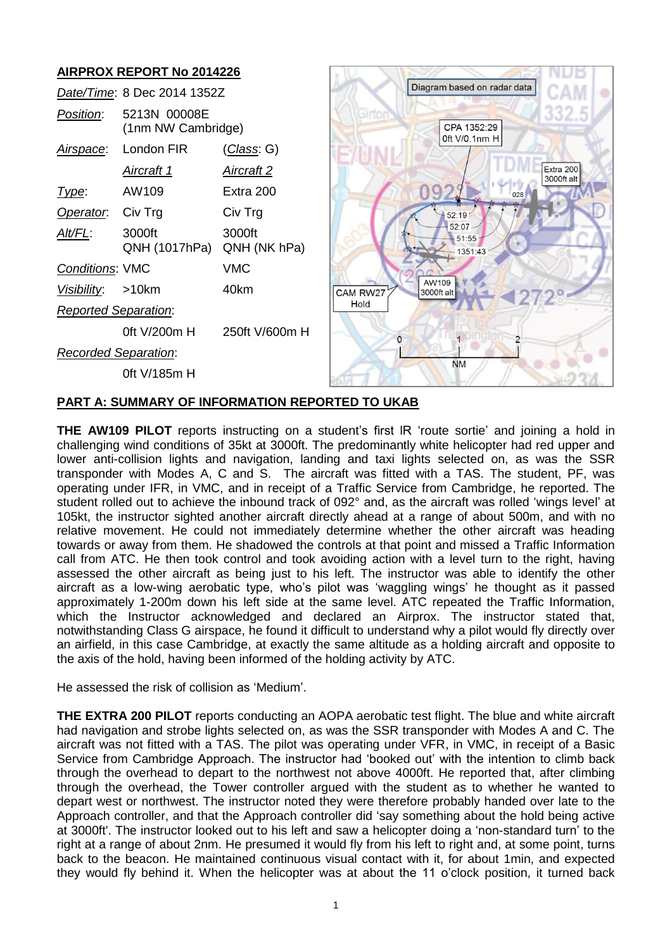#### **AIRPROX REPORT No 2014226** Diagram based on radar data *Date/Time*: 8 Dec 2014 1352Z ö *Position*: 5213N 00008E (1nm NW Cambridge) CPA 1352:29 0ft V/0.1nm H *Airspace*: London FIR (*Class*: G) Extra 200 *Aircraft 1 Aircraft 2* 3000ft alt *Type*: AW109 Extra 200 028 **Operator:** Civ Trg Civ Trg  $52:19$ 52:07 *Alt/FL*: 3000ft 3000ft  $-51:55$ QNH (1017hPa) QNH (NK hPa) 1351:43 *Conditions*: VMC VMC AW109 *Visibility*: >10km 40km CAM RW27 3000ft alt Hold *Reported Separation*: 0ft V/200m H 250ft V/600m H  $\Omega$  $\overline{2}$ *Recorded Separation*: **NM** 0ft V/185m H

# **PART A: SUMMARY OF INFORMATION REPORTED TO UKAB**

**THE AW109 PILOT** reports instructing on a student's first lR 'route sortie' and joining a hold in challenging wind conditions of 35kt at 3000ft. The predominantly white helicopter had red upper and lower anti-collision lights and navigation, landing and taxi lights selected on, as was the SSR transponder with Modes A, C and S. The aircraft was fitted with a TAS. The student, PF, was operating under IFR, in VMC, and in receipt of a Traffic Service from Cambridge, he reported. The student rolled out to achieve the inbound track of 092° and, as the aircraft was rolled 'wings level' at 105kt, the instructor sighted another aircraft directly ahead at a range of about 500m, and with no relative movement. He could not immediately determine whether the other aircraft was heading towards or away from them. He shadowed the controls at that point and missed a Traffic Information call from ATC. He then took control and took avoiding action with a level turn to the right, having assessed the other aircraft as being just to his left. The instructor was able to identify the other aircraft as a low-wing aerobatic type, who's pilot was 'waggling wings' he thought as it passed approximately 1-200m down his left side at the same level. ATC repeated the Traffic Information, which the Instructor acknowledged and declared an Airprox. The instructor stated that, notwithstanding Class G airspace, he found it difficult to understand why a pilot would fly directly over an airfield, in this case Cambridge, at exactly the same altitude as a holding aircraft and opposite to the axis of the hold, having been informed of the holding activity by ATC.

He assessed the risk of collision as 'Medium'.

**THE EXTRA 200 PILOT** reports conducting an AOPA aerobatic test flight. The blue and white aircraft had navigation and strobe lights selected on, as was the SSR transponder with Modes A and C. The aircraft was not fitted with a TAS. The pilot was operating under VFR, in VMC, in receipt of a Basic Service from Cambridge Approach. The instructor had 'booked out' with the intention to climb back through the overhead to depart to the northwest not above 4000ft. He reported that, after climbing through the overhead, the Tower controller argued with the student as to whether he wanted to depart west or northwest. The instructor noted they were therefore probably handed over late to the Approach controller, and that the Approach controller did 'say something about the hold being active at 3000ft'. The instructor looked out to his left and saw a helicopter doing a 'non-standard turn' to the right at a range of about 2nm. He presumed it would fly from his left to right and, at some point, turns back to the beacon. He maintained continuous visual contact with it, for about 1min, and expected they would fly behind it. When the helicopter was at about the 11 o'clock position, it turned back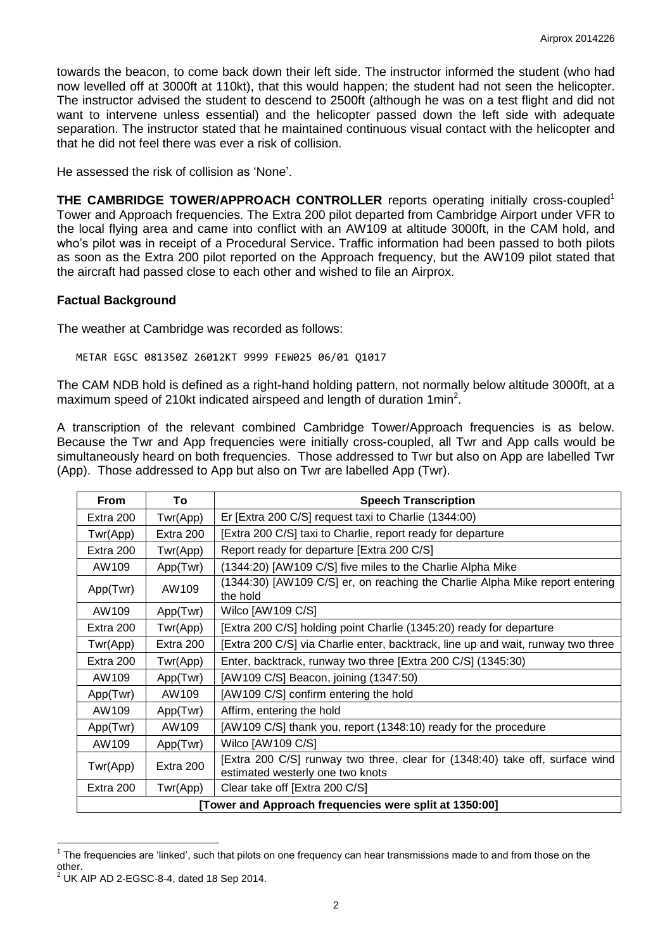towards the beacon, to come back down their left side. The instructor informed the student (who had now levelled off at 3000ft at 110kt), that this would happen; the student had not seen the helicopter. The instructor advised the student to descend to 2500ft (although he was on a test flight and did not want to intervene unless essential) and the helicopter passed down the left side with adequate separation. The instructor stated that he maintained continuous visual contact with the helicopter and that he did not feel there was ever a risk of collision.

He assessed the risk of collision as 'None'.

**THE CAMBRIDGE TOWER/APPROACH CONTROLLER** reports operating initially cross-coupled<sup>1</sup> Tower and Approach frequencies. The Extra 200 pilot departed from Cambridge Airport under VFR to the local flying area and came into conflict with an AW109 at altitude 3000ft, in the CAM hold, and who's pilot was in receipt of a Procedural Service. Traffic information had been passed to both pilots as soon as the Extra 200 pilot reported on the Approach frequency, but the AW109 pilot stated that the aircraft had passed close to each other and wished to file an Airprox.

## **Factual Background**

The weather at Cambridge was recorded as follows:

METAR EGSC 081350Z 26012KT 9999 FEW025 06/01 Q1017

The CAM NDB hold is defined as a right-hand holding pattern, not normally below altitude 3000ft, at a maximum speed of 210kt indicated airspeed and length of duration 1min<sup>2</sup>.

A transcription of the relevant combined Cambridge Tower/Approach frequencies is as below. Because the Twr and App frequencies were initially cross-coupled, all Twr and App calls would be simultaneously heard on both frequencies. Those addressed to Twr but also on App are labelled Twr (App). Those addressed to App but also on Twr are labelled App (Twr).

| <b>From</b>                                            | To        | <b>Speech Transcription</b>                                                                                      |  |  |
|--------------------------------------------------------|-----------|------------------------------------------------------------------------------------------------------------------|--|--|
| Extra 200                                              | Twr(App)  | Er [Extra 200 C/S] request taxi to Charlie (1344:00)                                                             |  |  |
| Twr(App)                                               | Extra 200 | [Extra 200 C/S] taxi to Charlie, report ready for departure                                                      |  |  |
| Extra 200                                              | Twr(App)  | Report ready for departure [Extra 200 C/S]                                                                       |  |  |
| AW109                                                  | App(Twr)  | (1344:20) [AW109 C/S] five miles to the Charlie Alpha Mike                                                       |  |  |
| App(Twr)                                               | AW109     | (1344:30) [AW109 C/S] er, on reaching the Charlie Alpha Mike report entering<br>the hold                         |  |  |
| AW109                                                  | App(Twr)  | Wilco [AW109 C/S]                                                                                                |  |  |
| Extra 200                                              | Twr(App)  | [Extra 200 C/S] holding point Charlie (1345:20) ready for departure                                              |  |  |
| Twr(App)                                               | Extra 200 | [Extra 200 C/S] via Charlie enter, backtrack, line up and wait, runway two three                                 |  |  |
| Extra 200                                              | Twr(App)  | Enter, backtrack, runway two three [Extra 200 C/S] (1345:30)                                                     |  |  |
| AW109                                                  | App(Twr)  | [AW109 C/S] Beacon, joining (1347:50)                                                                            |  |  |
| App(Twr)                                               | AW109     | [AW109 C/S] confirm entering the hold                                                                            |  |  |
| AW109                                                  | App(Twr)  | Affirm, entering the hold                                                                                        |  |  |
| App(Twr)                                               | AW109     | [AW109 C/S] thank you, report (1348:10) ready for the procedure                                                  |  |  |
| AW109                                                  | App(Twr)  | Wilco [AW109 C/S]                                                                                                |  |  |
| Twr(App)                                               | Extra 200 | [Extra 200 C/S] runway two three, clear for (1348:40) take off, surface wind<br>estimated westerly one two knots |  |  |
| Extra 200                                              | Twr(App)  | Clear take off [Extra 200 C/S]                                                                                   |  |  |
| [Tower and Approach frequencies were split at 1350:00] |           |                                                                                                                  |  |  |

The frequencies are 'linked', such that pilots on one frequency can hear transmissions made to and from those on the<br>The frequencies are 'linked', such that pilots on one frequency can hear transmissions made to and from t other.

 $^{2}$  UK AIP AD 2-EGSC-8-4, dated 18 Sep 2014.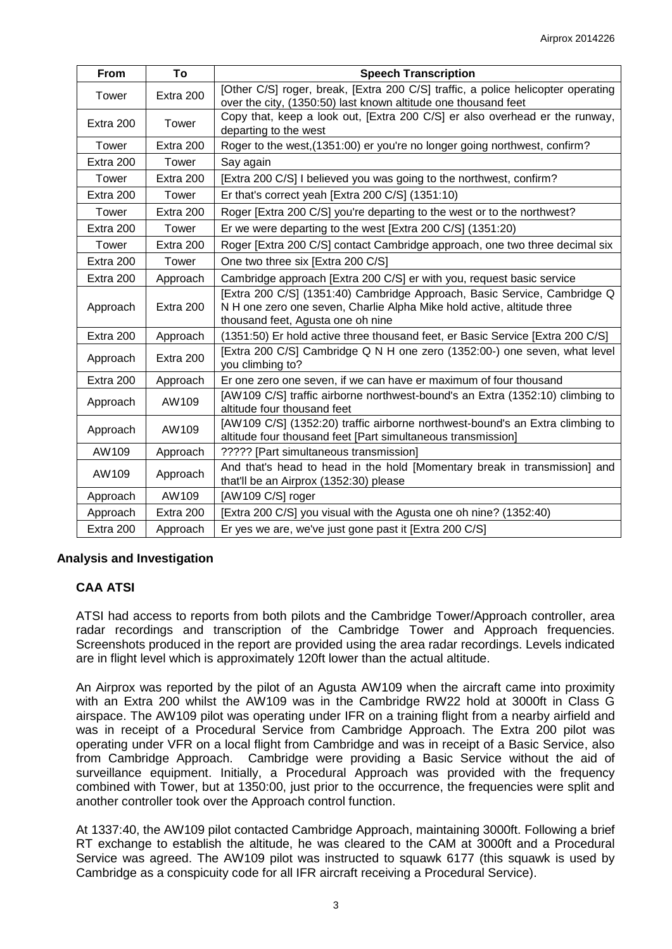| From      | To        | <b>Speech Transcription</b>                                                                                                                                                             |
|-----------|-----------|-----------------------------------------------------------------------------------------------------------------------------------------------------------------------------------------|
| Tower     | Extra 200 | [Other C/S] roger, break, [Extra 200 C/S] traffic, a police helicopter operating<br>over the city, (1350:50) last known altitude one thousand feet                                      |
| Extra 200 | Tower     | Copy that, keep a look out, [Extra 200 C/S] er also overhead er the runway,<br>departing to the west                                                                                    |
| Tower     | Extra 200 | Roger to the west, (1351:00) er you're no longer going northwest, confirm?                                                                                                              |
| Extra 200 | Tower     | Say again                                                                                                                                                                               |
| Tower     | Extra 200 | [Extra 200 C/S] I believed you was going to the northwest, confirm?                                                                                                                     |
| Extra 200 | Tower     | Er that's correct yeah [Extra 200 C/S] (1351:10)                                                                                                                                        |
| Tower     | Extra 200 | Roger [Extra 200 C/S] you're departing to the west or to the northwest?                                                                                                                 |
| Extra 200 | Tower     | Er we were departing to the west [Extra 200 C/S] (1351:20)                                                                                                                              |
| Tower     | Extra 200 | Roger [Extra 200 C/S] contact Cambridge approach, one two three decimal six                                                                                                             |
| Extra 200 | Tower     | One two three six [Extra 200 C/S]                                                                                                                                                       |
| Extra 200 | Approach  | Cambridge approach [Extra 200 C/S] er with you, request basic service                                                                                                                   |
| Approach  | Extra 200 | [Extra 200 C/S] (1351:40) Cambridge Approach, Basic Service, Cambridge Q<br>N H one zero one seven, Charlie Alpha Mike hold active, altitude three<br>thousand feet, Agusta one oh nine |
| Extra 200 | Approach  | (1351:50) Er hold active three thousand feet, er Basic Service [Extra 200 C/S]                                                                                                          |
| Approach  | Extra 200 | [Extra 200 C/S] Cambridge Q N H one zero (1352:00-) one seven, what level<br>you climbing to?                                                                                           |
| Extra 200 | Approach  | Er one zero one seven, if we can have er maximum of four thousand                                                                                                                       |
| Approach  | AW109     | [AW109 C/S] traffic airborne northwest-bound's an Extra (1352:10) climbing to<br>altitude four thousand feet                                                                            |
| Approach  | AW109     | [AW109 C/S] (1352:20) traffic airborne northwest-bound's an Extra climbing to<br>altitude four thousand feet [Part simultaneous transmission]                                           |
| AW109     | Approach  | ????? [Part simultaneous transmission]                                                                                                                                                  |
| AW109     | Approach  | And that's head to head in the hold [Momentary break in transmission] and<br>that'll be an Airprox (1352:30) please                                                                     |
| Approach  | AW109     | [AW109 C/S] roger                                                                                                                                                                       |
| Approach  | Extra 200 | [Extra 200 C/S] you visual with the Agusta one oh nine? (1352:40)                                                                                                                       |
| Extra 200 | Approach  | Er yes we are, we've just gone past it [Extra 200 C/S]                                                                                                                                  |

## **Analysis and Investigation**

# **CAA ATSI**

ATSI had access to reports from both pilots and the Cambridge Tower/Approach controller, area radar recordings and transcription of the Cambridge Tower and Approach frequencies. Screenshots produced in the report are provided using the area radar recordings. Levels indicated are in flight level which is approximately 120ft lower than the actual altitude.

An Airprox was reported by the pilot of an Agusta AW109 when the aircraft came into proximity with an Extra 200 whilst the AW109 was in the Cambridge RW22 hold at 3000ft in Class G airspace. The AW109 pilot was operating under IFR on a training flight from a nearby airfield and was in receipt of a Procedural Service from Cambridge Approach. The Extra 200 pilot was operating under VFR on a local flight from Cambridge and was in receipt of a Basic Service, also from Cambridge Approach. Cambridge were providing a Basic Service without the aid of surveillance equipment. Initially, a Procedural Approach was provided with the frequency combined with Tower, but at 1350:00, just prior to the occurrence, the frequencies were split and another controller took over the Approach control function.

At 1337:40, the AW109 pilot contacted Cambridge Approach, maintaining 3000ft. Following a brief RT exchange to establish the altitude, he was cleared to the CAM at 3000ft and a Procedural Service was agreed. The AW109 pilot was instructed to squawk 6177 (this squawk is used by Cambridge as a conspicuity code for all IFR aircraft receiving a Procedural Service).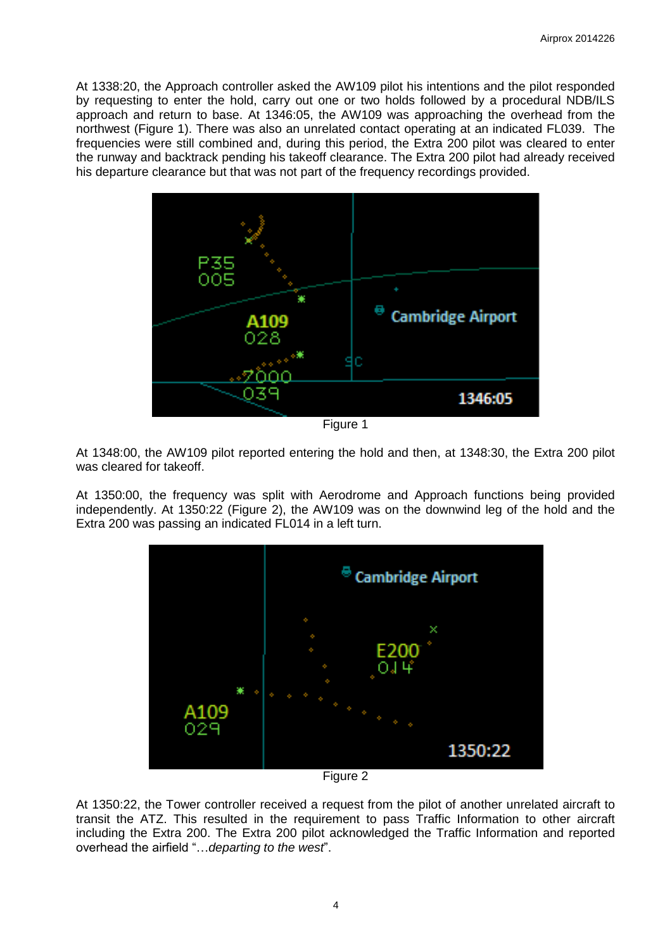At 1338:20, the Approach controller asked the AW109 pilot his intentions and the pilot responded by requesting to enter the hold, carry out one or two holds followed by a procedural NDB/ILS approach and return to base. At 1346:05, the AW109 was approaching the overhead from the northwest (Figure 1). There was also an unrelated contact operating at an indicated FL039. The frequencies were still combined and, during this period, the Extra 200 pilot was cleared to enter the runway and backtrack pending his takeoff clearance. The Extra 200 pilot had already received his departure clearance but that was not part of the frequency recordings provided.



Figure 1

At 1348:00, the AW109 pilot reported entering the hold and then, at 1348:30, the Extra 200 pilot was cleared for takeoff.

At 1350:00, the frequency was split with Aerodrome and Approach functions being provided independently. At 1350:22 (Figure 2), the AW109 was on the downwind leg of the hold and the Extra 200 was passing an indicated FL014 in a left turn.



Figure 2

At 1350:22, the Tower controller received a request from the pilot of another unrelated aircraft to transit the ATZ. This resulted in the requirement to pass Traffic Information to other aircraft including the Extra 200. The Extra 200 pilot acknowledged the Traffic Information and reported overhead the airfield "…*departing to the west*".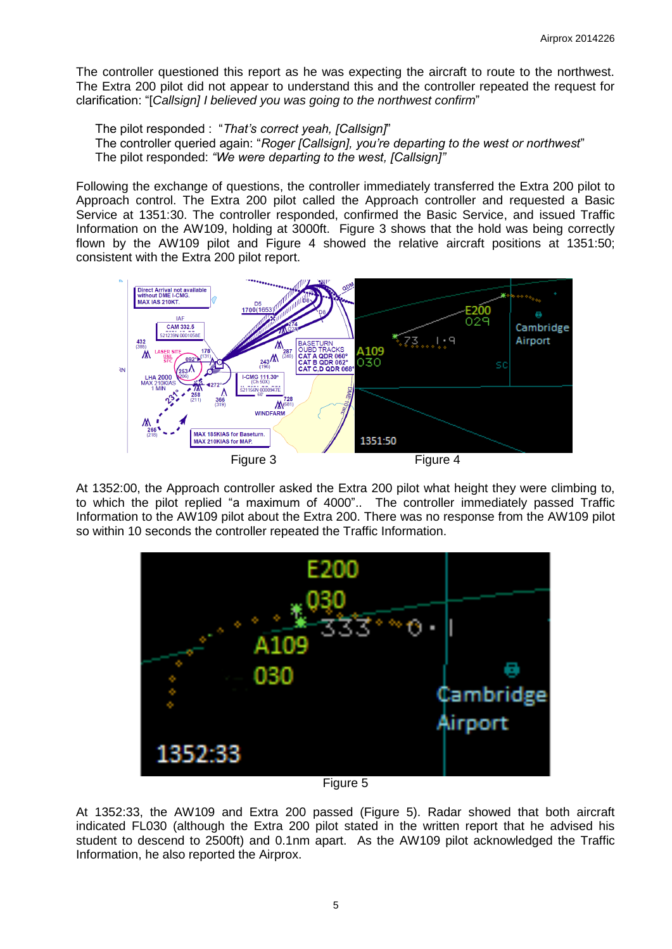The controller questioned this report as he was expecting the aircraft to route to the northwest. The Extra 200 pilot did not appear to understand this and the controller repeated the request for clarification: "[*Callsign] I believed you was going to the northwest confirm*"

The pilot responded : "*That's correct yeah, [Callsign]*" The controller queried again: "*Roger [Callsign], you're departing to the west or northwest*" The pilot responded: *"We were departing to the west, [Callsign]"*

Following the exchange of questions, the controller immediately transferred the Extra 200 pilot to Approach control. The Extra 200 pilot called the Approach controller and requested a Basic Service at 1351:30. The controller responded, confirmed the Basic Service, and issued Traffic Information on the AW109, holding at 3000ft. Figure 3 shows that the hold was being correctly flown by the AW109 pilot and Figure 4 showed the relative aircraft positions at 1351:50; consistent with the Extra 200 pilot report.



At 1352:00, the Approach controller asked the Extra 200 pilot what height they were climbing to, to which the pilot replied "a maximum of 4000".. The controller immediately passed Traffic Information to the AW109 pilot about the Extra 200. There was no response from the AW109 pilot so within 10 seconds the controller repeated the Traffic Information.



Figure 5

At 1352:33, the AW109 and Extra 200 passed (Figure 5). Radar showed that both aircraft indicated FL030 (although the Extra 200 pilot stated in the written report that he advised his student to descend to 2500ft) and 0.1nm apart. As the AW109 pilot acknowledged the Traffic Information, he also reported the Airprox.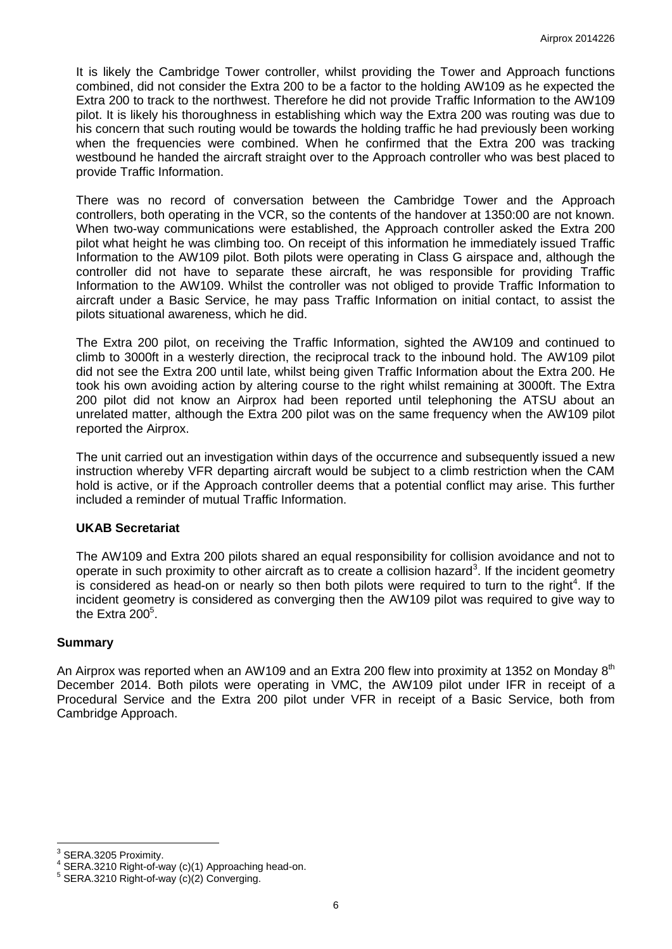It is likely the Cambridge Tower controller, whilst providing the Tower and Approach functions combined, did not consider the Extra 200 to be a factor to the holding AW109 as he expected the Extra 200 to track to the northwest. Therefore he did not provide Traffic Information to the AW109 pilot. It is likely his thoroughness in establishing which way the Extra 200 was routing was due to his concern that such routing would be towards the holding traffic he had previously been working when the frequencies were combined. When he confirmed that the Extra 200 was tracking westbound he handed the aircraft straight over to the Approach controller who was best placed to provide Traffic Information.

There was no record of conversation between the Cambridge Tower and the Approach controllers, both operating in the VCR, so the contents of the handover at 1350:00 are not known. When two-way communications were established, the Approach controller asked the Extra 200 pilot what height he was climbing too. On receipt of this information he immediately issued Traffic Information to the AW109 pilot. Both pilots were operating in Class G airspace and, although the controller did not have to separate these aircraft, he was responsible for providing Traffic Information to the AW109. Whilst the controller was not obliged to provide Traffic Information to aircraft under a Basic Service, he may pass Traffic Information on initial contact, to assist the pilots situational awareness, which he did.

The Extra 200 pilot, on receiving the Traffic Information, sighted the AW109 and continued to climb to 3000ft in a westerly direction, the reciprocal track to the inbound hold. The AW109 pilot did not see the Extra 200 until late, whilst being given Traffic Information about the Extra 200. He took his own avoiding action by altering course to the right whilst remaining at 3000ft. The Extra 200 pilot did not know an Airprox had been reported until telephoning the ATSU about an unrelated matter, although the Extra 200 pilot was on the same frequency when the AW109 pilot reported the Airprox.

The unit carried out an investigation within days of the occurrence and subsequently issued a new instruction whereby VFR departing aircraft would be subject to a climb restriction when the CAM hold is active, or if the Approach controller deems that a potential conflict may arise. This further included a reminder of mutual Traffic Information.

### **UKAB Secretariat**

The AW109 and Extra 200 pilots shared an equal responsibility for collision avoidance and not to operate in such proximity to other aircraft as to create a collision hazard<sup>3</sup>. If the incident geometry is considered as head-on or nearly so then both pilots were required to turn to the right<sup>4</sup>. If the incident geometry is considered as converging then the AW109 pilot was required to give way to the Extra  $200^5$ .

#### **Summary**

An Airprox was reported when an AW109 and an Extra 200 flew into proximity at 1352 on Monday 8<sup>th</sup> December 2014. Both pilots were operating in VMC, the AW109 pilot under IFR in receipt of a Procedural Service and the Extra 200 pilot under VFR in receipt of a Basic Service, both from Cambridge Approach.

**<sup>3&</sup>lt;br><sup>3</sup> SERA.3205 Proximity.**<br>4 SERA 3310 Bight of u

SERA.3210 Right-of-way (c)(1) Approaching head-on.

<sup>5</sup> SERA.3210 Right-of-way (c)(2) Converging.